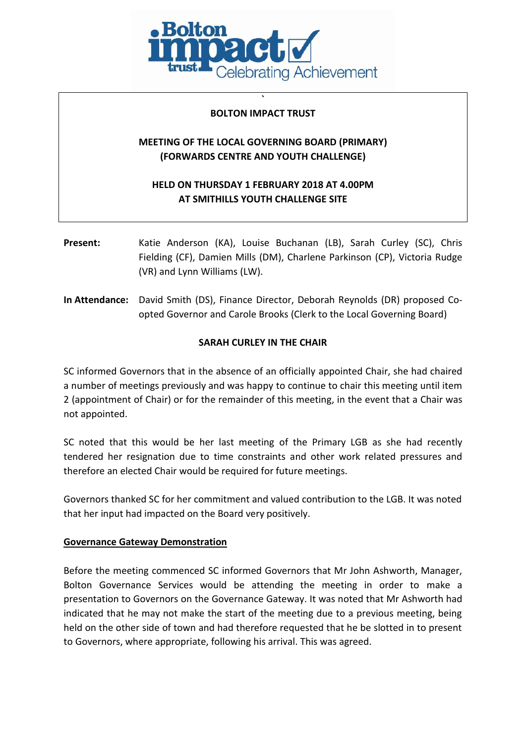

## **` BOLTON IMPACT TRUST**

# **MEETING OF THE LOCAL GOVERNING BOARD (PRIMARY) (FORWARDS CENTRE AND YOUTH CHALLENGE)**

# **HELD ON THURSDAY 1 FEBRUARY 2018 AT 4.00PM AT SMITHILLS YOUTH CHALLENGE SITE**

- **Present:** Katie Anderson (KA), Louise Buchanan (LB), Sarah Curley (SC), Chris Fielding (CF), Damien Mills (DM), Charlene Parkinson (CP), Victoria Rudge (VR) and Lynn Williams (LW).
- **In Attendance:** David Smith (DS), Finance Director, Deborah Reynolds (DR) proposed Coopted Governor and Carole Brooks (Clerk to the Local Governing Board)

## **SARAH CURLEY IN THE CHAIR**

SC informed Governors that in the absence of an officially appointed Chair, she had chaired a number of meetings previously and was happy to continue to chair this meeting until item 2 (appointment of Chair) or for the remainder of this meeting, in the event that a Chair was not appointed.

SC noted that this would be her last meeting of the Primary LGB as she had recently tendered her resignation due to time constraints and other work related pressures and therefore an elected Chair would be required for future meetings.

Governors thanked SC for her commitment and valued contribution to the LGB. It was noted that her input had impacted on the Board very positively.

## **Governance Gateway Demonstration**

Before the meeting commenced SC informed Governors that Mr John Ashworth, Manager, Bolton Governance Services would be attending the meeting in order to make a presentation to Governors on the Governance Gateway. It was noted that Mr Ashworth had indicated that he may not make the start of the meeting due to a previous meeting, being held on the other side of town and had therefore requested that he be slotted in to present to Governors, where appropriate, following his arrival. This was agreed.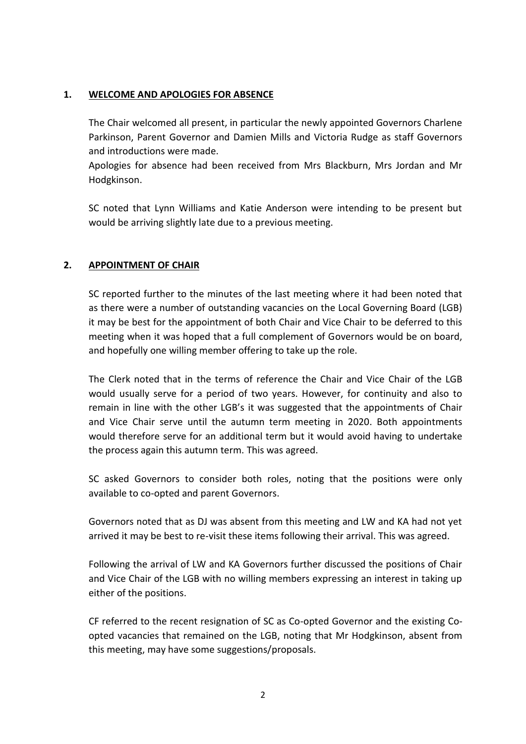### **1. WELCOME AND APOLOGIES FOR ABSENCE**

The Chair welcomed all present, in particular the newly appointed Governors Charlene Parkinson, Parent Governor and Damien Mills and Victoria Rudge as staff Governors and introductions were made.

Apologies for absence had been received from Mrs Blackburn, Mrs Jordan and Mr Hodgkinson.

SC noted that Lynn Williams and Katie Anderson were intending to be present but would be arriving slightly late due to a previous meeting.

## **2. APPOINTMENT OF CHAIR**

SC reported further to the minutes of the last meeting where it had been noted that as there were a number of outstanding vacancies on the Local Governing Board (LGB) it may be best for the appointment of both Chair and Vice Chair to be deferred to this meeting when it was hoped that a full complement of Governors would be on board, and hopefully one willing member offering to take up the role.

The Clerk noted that in the terms of reference the Chair and Vice Chair of the LGB would usually serve for a period of two years. However, for continuity and also to remain in line with the other LGB's it was suggested that the appointments of Chair and Vice Chair serve until the autumn term meeting in 2020. Both appointments would therefore serve for an additional term but it would avoid having to undertake the process again this autumn term. This was agreed.

SC asked Governors to consider both roles, noting that the positions were only available to co-opted and parent Governors.

Governors noted that as DJ was absent from this meeting and LW and KA had not yet arrived it may be best to re-visit these items following their arrival. This was agreed.

Following the arrival of LW and KA Governors further discussed the positions of Chair and Vice Chair of the LGB with no willing members expressing an interest in taking up either of the positions.

CF referred to the recent resignation of SC as Co-opted Governor and the existing Coopted vacancies that remained on the LGB, noting that Mr Hodgkinson, absent from this meeting, may have some suggestions/proposals.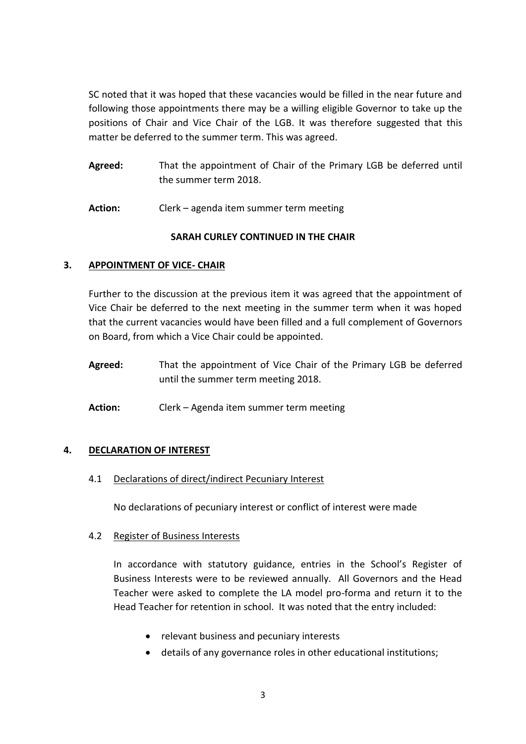SC noted that it was hoped that these vacancies would be filled in the near future and following those appointments there may be a willing eligible Governor to take up the positions of Chair and Vice Chair of the LGB. It was therefore suggested that this matter be deferred to the summer term. This was agreed.

- **Agreed:** That the appointment of Chair of the Primary LGB be deferred until the summer term 2018.
- **Action:** Clerk agenda item summer term meeting

# **SARAH CURLEY CONTINUED IN THE CHAIR**

## **3. APPOINTMENT OF VICE- CHAIR**

Further to the discussion at the previous item it was agreed that the appointment of Vice Chair be deferred to the next meeting in the summer term when it was hoped that the current vacancies would have been filled and a full complement of Governors on Board, from which a Vice Chair could be appointed.

**Agreed:** That the appointment of Vice Chair of the Primary LGB be deferred until the summer term meeting 2018.

**Action:** Clerk – Agenda item summer term meeting

## **4. DECLARATION OF INTEREST**

4.1 Declarations of direct/indirect Pecuniary Interest

No declarations of pecuniary interest or conflict of interest were made

## 4.2 Register of Business Interests

In accordance with statutory guidance, entries in the School's Register of Business Interests were to be reviewed annually. All Governors and the Head Teacher were asked to complete the LA model pro-forma and return it to the Head Teacher for retention in school. It was noted that the entry included:

- relevant business and pecuniary interests
- details of any governance roles in other educational institutions;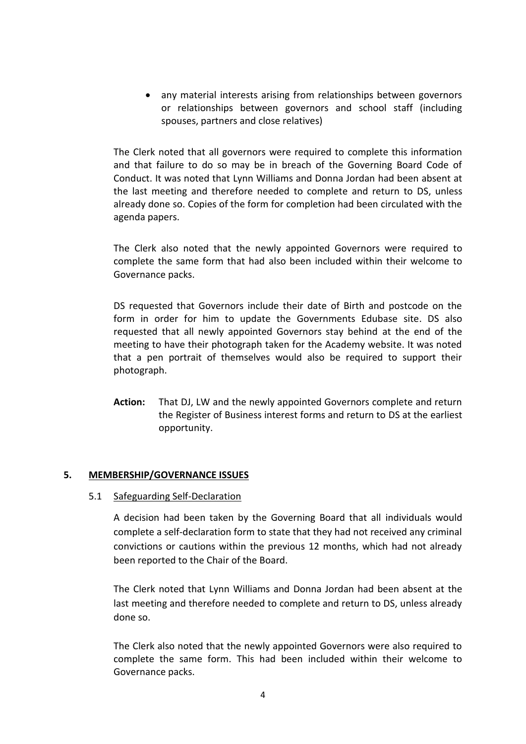• any material interests arising from relationships between governors or relationships between governors and school staff (including spouses, partners and close relatives)

The Clerk noted that all governors were required to complete this information and that failure to do so may be in breach of the Governing Board Code of Conduct. It was noted that Lynn Williams and Donna Jordan had been absent at the last meeting and therefore needed to complete and return to DS, unless already done so. Copies of the form for completion had been circulated with the agenda papers.

The Clerk also noted that the newly appointed Governors were required to complete the same form that had also been included within their welcome to Governance packs.

DS requested that Governors include their date of Birth and postcode on the form in order for him to update the Governments Edubase site. DS also requested that all newly appointed Governors stay behind at the end of the meeting to have their photograph taken for the Academy website. It was noted that a pen portrait of themselves would also be required to support their photograph.

**Action:** That DJ, LW and the newly appointed Governors complete and return the Register of Business interest forms and return to DS at the earliest opportunity.

## **5. MEMBERSHIP/GOVERNANCE ISSUES**

#### 5.1 Safeguarding Self-Declaration

A decision had been taken by the Governing Board that all individuals would complete a self-declaration form to state that they had not received any criminal convictions or cautions within the previous 12 months, which had not already been reported to the Chair of the Board.

The Clerk noted that Lynn Williams and Donna Jordan had been absent at the last meeting and therefore needed to complete and return to DS, unless already done so.

The Clerk also noted that the newly appointed Governors were also required to complete the same form. This had been included within their welcome to Governance packs.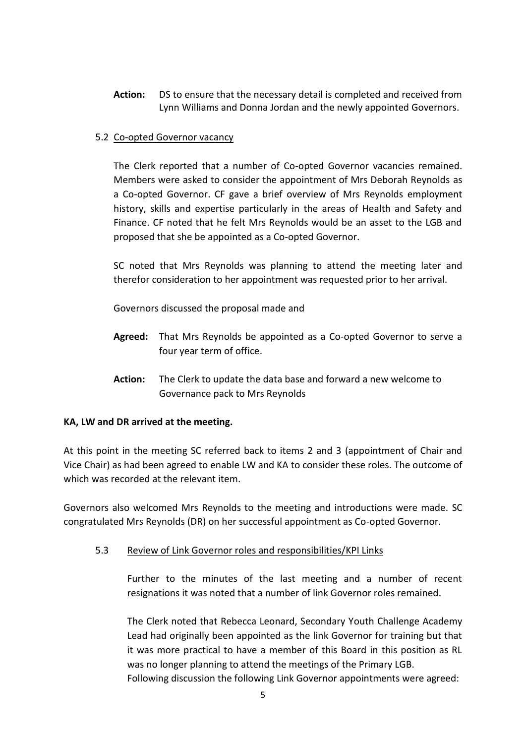**Action:** DS to ensure that the necessary detail is completed and received from Lynn Williams and Donna Jordan and the newly appointed Governors.

## 5.2 Co-opted Governor vacancy

The Clerk reported that a number of Co-opted Governor vacancies remained. Members were asked to consider the appointment of Mrs Deborah Reynolds as a Co-opted Governor. CF gave a brief overview of Mrs Reynolds employment history, skills and expertise particularly in the areas of Health and Safety and Finance. CF noted that he felt Mrs Reynolds would be an asset to the LGB and proposed that she be appointed as a Co-opted Governor.

SC noted that Mrs Reynolds was planning to attend the meeting later and therefor consideration to her appointment was requested prior to her arrival.

Governors discussed the proposal made and

- **Agreed:** That Mrs Reynolds be appointed as a Co-opted Governor to serve a four year term of office.
- **Action:** The Clerk to update the data base and forward a new welcome to Governance pack to Mrs Reynolds

#### **KA, LW and DR arrived at the meeting.**

At this point in the meeting SC referred back to items 2 and 3 (appointment of Chair and Vice Chair) as had been agreed to enable LW and KA to consider these roles. The outcome of which was recorded at the relevant item.

Governors also welcomed Mrs Reynolds to the meeting and introductions were made. SC congratulated Mrs Reynolds (DR) on her successful appointment as Co-opted Governor.

5.3 Review of Link Governor roles and responsibilities/KPI Links

Further to the minutes of the last meeting and a number of recent resignations it was noted that a number of link Governor roles remained.

The Clerk noted that Rebecca Leonard, Secondary Youth Challenge Academy Lead had originally been appointed as the link Governor for training but that it was more practical to have a member of this Board in this position as RL was no longer planning to attend the meetings of the Primary LGB. Following discussion the following Link Governor appointments were agreed: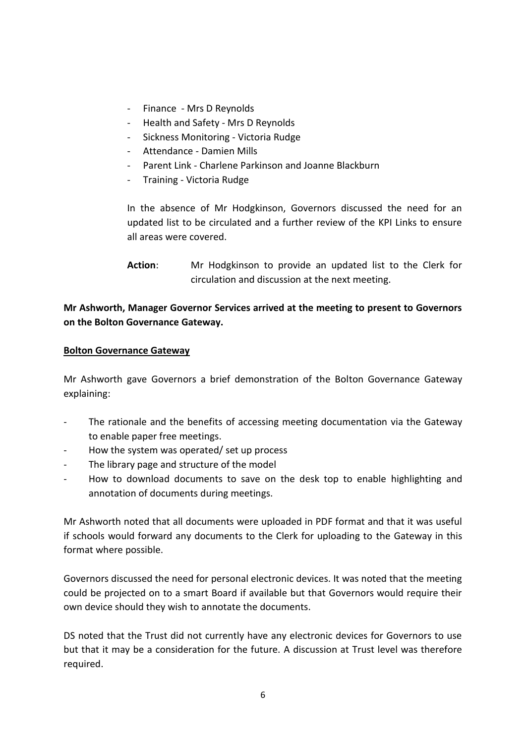- Finance Mrs D Reynolds
- Health and Safety Mrs D Reynolds
- Sickness Monitoring Victoria Rudge
- Attendance Damien Mills
- Parent Link Charlene Parkinson and Joanne Blackburn
- Training Victoria Rudge

In the absence of Mr Hodgkinson, Governors discussed the need for an updated list to be circulated and a further review of the KPI Links to ensure all areas were covered.

**Action**: Mr Hodgkinson to provide an updated list to the Clerk for circulation and discussion at the next meeting.

# **Mr Ashworth, Manager Governor Services arrived at the meeting to present to Governors on the Bolton Governance Gateway.**

### **Bolton Governance Gateway**

Mr Ashworth gave Governors a brief demonstration of the Bolton Governance Gateway explaining:

- The rationale and the benefits of accessing meeting documentation via the Gateway to enable paper free meetings.
- How the system was operated/ set up process
- The library page and structure of the model
- How to download documents to save on the desk top to enable highlighting and annotation of documents during meetings.

Mr Ashworth noted that all documents were uploaded in PDF format and that it was useful if schools would forward any documents to the Clerk for uploading to the Gateway in this format where possible.

Governors discussed the need for personal electronic devices. It was noted that the meeting could be projected on to a smart Board if available but that Governors would require their own device should they wish to annotate the documents.

DS noted that the Trust did not currently have any electronic devices for Governors to use but that it may be a consideration for the future. A discussion at Trust level was therefore required.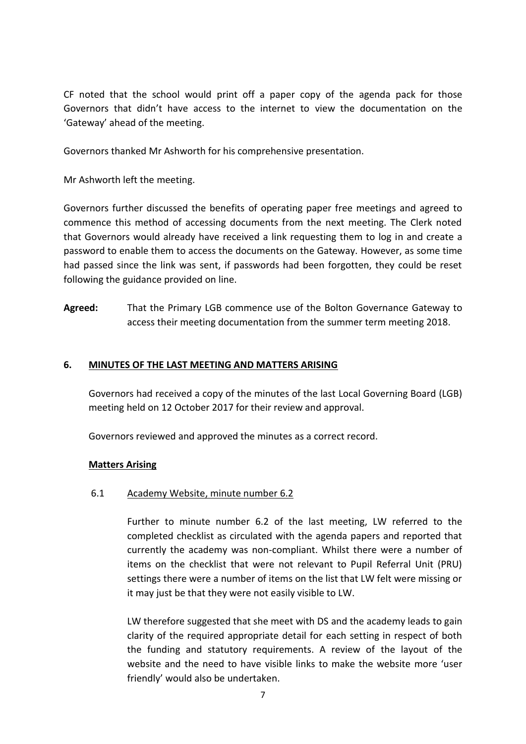CF noted that the school would print off a paper copy of the agenda pack for those Governors that didn't have access to the internet to view the documentation on the 'Gateway' ahead of the meeting.

Governors thanked Mr Ashworth for his comprehensive presentation.

Mr Ashworth left the meeting.

Governors further discussed the benefits of operating paper free meetings and agreed to commence this method of accessing documents from the next meeting. The Clerk noted that Governors would already have received a link requesting them to log in and create a password to enable them to access the documents on the Gateway. However, as some time had passed since the link was sent, if passwords had been forgotten, they could be reset following the guidance provided on line.

**Agreed:** That the Primary LGB commence use of the Bolton Governance Gateway to access their meeting documentation from the summer term meeting 2018.

### **6. MINUTES OF THE LAST MEETING AND MATTERS ARISING**

Governors had received a copy of the minutes of the last Local Governing Board (LGB) meeting held on 12 October 2017 for their review and approval.

Governors reviewed and approved the minutes as a correct record.

#### **Matters Arising**

#### 6.1 Academy Website, minute number 6.2

Further to minute number 6.2 of the last meeting, LW referred to the completed checklist as circulated with the agenda papers and reported that currently the academy was non-compliant. Whilst there were a number of items on the checklist that were not relevant to Pupil Referral Unit (PRU) settings there were a number of items on the list that LW felt were missing or it may just be that they were not easily visible to LW.

LW therefore suggested that she meet with DS and the academy leads to gain clarity of the required appropriate detail for each setting in respect of both the funding and statutory requirements. A review of the layout of the website and the need to have visible links to make the website more 'user friendly' would also be undertaken.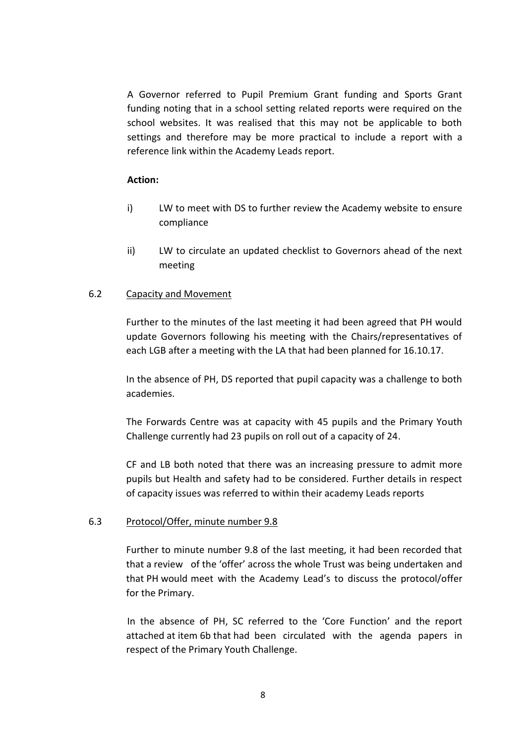A Governor referred to Pupil Premium Grant funding and Sports Grant funding noting that in a school setting related reports were required on the school websites. It was realised that this may not be applicable to both settings and therefore may be more practical to include a report with a reference link within the Academy Leads report.

#### **Action:**

- i) LW to meet with DS to further review the Academy website to ensure compliance
- ii) LW to circulate an updated checklist to Governors ahead of the next meeting

#### 6.2 Capacity and Movement

Further to the minutes of the last meeting it had been agreed that PH would update Governors following his meeting with the Chairs/representatives of each LGB after a meeting with the LA that had been planned for 16.10.17.

In the absence of PH, DS reported that pupil capacity was a challenge to both academies.

The Forwards Centre was at capacity with 45 pupils and the Primary Youth Challenge currently had 23 pupils on roll out of a capacity of 24.

CF and LB both noted that there was an increasing pressure to admit more pupils but Health and safety had to be considered. Further details in respect of capacity issues was referred to within their academy Leads reports

#### 6.3 Protocol/Offer, minute number 9.8

Further to minute number 9.8 of the last meeting, it had been recorded that that a review of the 'offer' across the whole Trust was being undertaken and that PH would meet with the Academy Lead's to discuss the protocol/offer for the Primary.

In the absence of PH, SC referred to the 'Core Function' and the report attached at item 6b that had been circulated with the agenda papers in respect of the Primary Youth Challenge.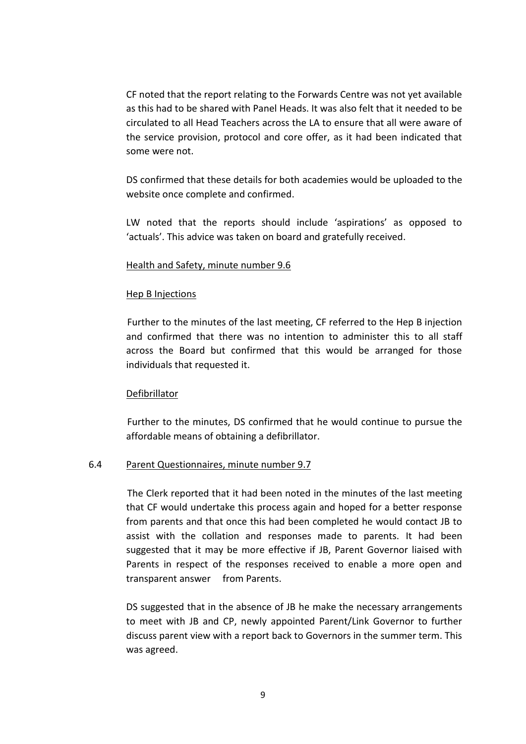CF noted that the report relating to the Forwards Centre was not yet available as this had to be shared with Panel Heads. It was also felt that it needed to be circulated to all Head Teachers across the LA to ensure that all were aware of the service provision, protocol and core offer, as it had been indicated that some were not.

DS confirmed that these details for both academies would be uploaded to the website once complete and confirmed.

LW noted that the reports should include 'aspirations' as opposed to 'actuals'. This advice was taken on board and gratefully received.

#### Health and Safety, minute number 9.6

### Hep B Injections

Further to the minutes of the last meeting, CF referred to the Hep B injection and confirmed that there was no intention to administer this to all staff across the Board but confirmed that this would be arranged for those individuals that requested it.

#### Defibrillator

Further to the minutes, DS confirmed that he would continue to pursue the affordable means of obtaining a defibrillator.

## 6.4 Parent Questionnaires, minute number 9.7

The Clerk reported that it had been noted in the minutes of the last meeting that CF would undertake this process again and hoped for a better response from parents and that once this had been completed he would contact JB to assist with the collation and responses made to parents. It had been suggested that it may be more effective if JB, Parent Governor liaised with Parents in respect of the responses received to enable a more open and transparent answer from Parents.

DS suggested that in the absence of JB he make the necessary arrangements to meet with JB and CP, newly appointed Parent/Link Governor to further discuss parent view with a report back to Governors in the summer term. This was agreed.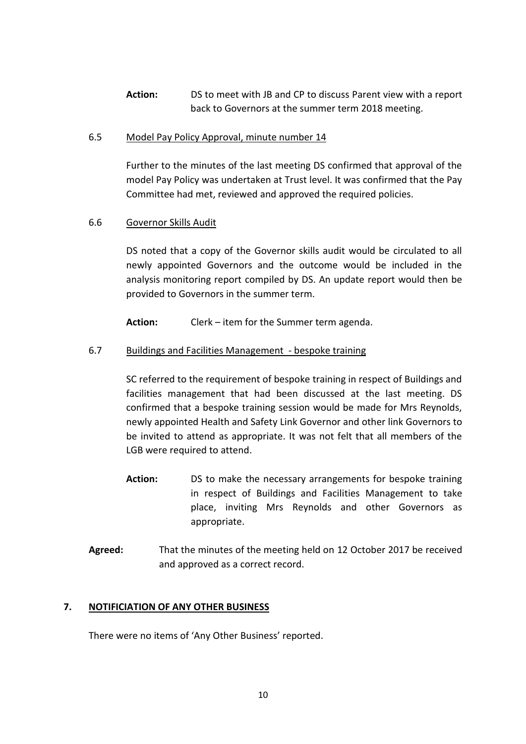**Action:** DS to meet with JB and CP to discuss Parent view with a report back to Governors at the summer term 2018 meeting.

#### 6.5 Model Pay Policy Approval, minute number 14

Further to the minutes of the last meeting DS confirmed that approval of the model Pay Policy was undertaken at Trust level. It was confirmed that the Pay Committee had met, reviewed and approved the required policies.

### 6.6 Governor Skills Audit

DS noted that a copy of the Governor skills audit would be circulated to all newly appointed Governors and the outcome would be included in the analysis monitoring report compiled by DS. An update report would then be provided to Governors in the summer term.

**Action:** Clerk – item for the Summer term agenda.

### 6.7 Buildings and Facilities Management - bespoke training

SC referred to the requirement of bespoke training in respect of Buildings and facilities management that had been discussed at the last meeting. DS confirmed that a bespoke training session would be made for Mrs Reynolds, newly appointed Health and Safety Link Governor and other link Governors to be invited to attend as appropriate. It was not felt that all members of the LGB were required to attend.

- Action: DS to make the necessary arrangements for bespoke training in respect of Buildings and Facilities Management to take place, inviting Mrs Reynolds and other Governors as appropriate.
- **Agreed:** That the minutes of the meeting held on 12 October 2017 be received and approved as a correct record.

#### **7. NOTIFICIATION OF ANY OTHER BUSINESS**

There were no items of 'Any Other Business' reported.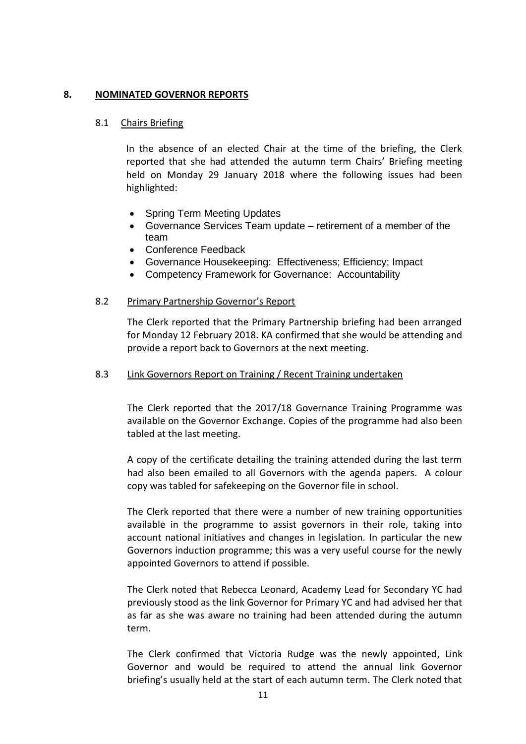#### **8. NOMINATED GOVERNOR REPORTS**

#### 8.1 Chairs Briefing

In the absence of an elected Chair at the time of the briefing, the Clerk reported that she had attended the autumn term Chairs' Briefing meeting held on Monday 29 January 2018 where the following issues had been highlighted:

- Spring Term Meeting Updates
- Governance Services Team update retirement of a member of the team
- Conference Feedback
- Governance Housekeeping: Effectiveness; Efficiency; Impact
- Competency Framework for Governance: Accountability

#### 8.2 Primary Partnership Governor's Report

The Clerk reported that the Primary Partnership briefing had been arranged for Monday 12 February 2018. KA confirmed that she would be attending and provide a report back to Governors at the next meeting.

#### 8.3 Link Governors Report on Training / Recent Training undertaken

The Clerk reported that the 2017/18 Governance Training Programme was available on the Governor Exchange. Copies of the programme had also been tabled at the last meeting.

A copy of the certificate detailing the training attended during the last term had also been emailed to all Governors with the agenda papers. A colour copy was tabled for safekeeping on the Governor file in school.

The Clerk reported that there were a number of new training opportunities available in the programme to assist governors in their role, taking into account national initiatives and changes in legislation. In particular the new Governors induction programme; this was a very useful course for the newly appointed Governors to attend if possible.

The Clerk noted that Rebecca Leonard, Academy Lead for Secondary YC had previously stood as the link Governor for Primary YC and had advised her that as far as she was aware no training had been attended during the autumn term.

The Clerk confirmed that Victoria Rudge was the newly appointed, Link Governor and would be required to attend the annual link Governor briefing's usually held at the start of each autumn term. The Clerk noted that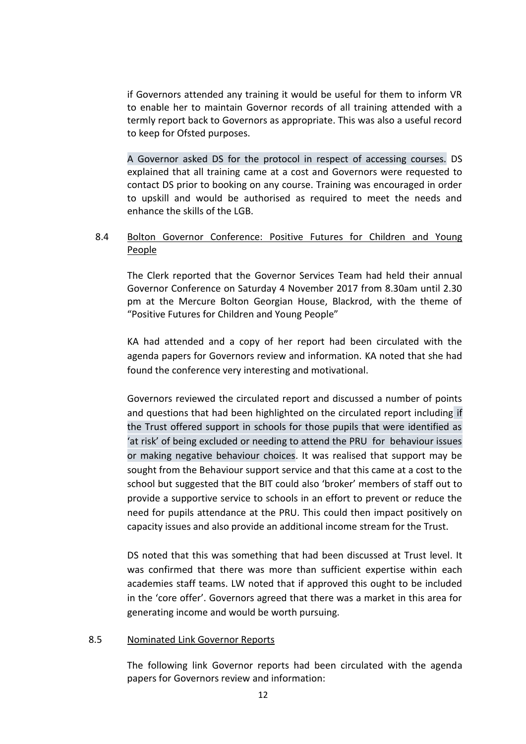if Governors attended any training it would be useful for them to inform VR to enable her to maintain Governor records of all training attended with a termly report back to Governors as appropriate. This was also a useful record to keep for Ofsted purposes.

A Governor asked DS for the protocol in respect of accessing courses. DS explained that all training came at a cost and Governors were requested to contact DS prior to booking on any course. Training was encouraged in order to upskill and would be authorised as required to meet the needs and enhance the skills of the LGB.

# 8.4 Bolton Governor Conference: Positive Futures for Children and Young People

The Clerk reported that the Governor Services Team had held their annual Governor Conference on Saturday 4 November 2017 from 8.30am until 2.30 pm at the Mercure Bolton Georgian House, Blackrod, with the theme of "Positive Futures for Children and Young People"

KA had attended and a copy of her report had been circulated with the agenda papers for Governors review and information. KA noted that she had found the conference very interesting and motivational.

Governors reviewed the circulated report and discussed a number of points and questions that had been highlighted on the circulated report including if the Trust offered support in schools for those pupils that were identified as 'at risk' of being excluded or needing to attend the PRU for behaviour issues or making negative behaviour choices. It was realised that support may be sought from the Behaviour support service and that this came at a cost to the school but suggested that the BIT could also 'broker' members of staff out to provide a supportive service to schools in an effort to prevent or reduce the need for pupils attendance at the PRU. This could then impact positively on capacity issues and also provide an additional income stream for the Trust.

DS noted that this was something that had been discussed at Trust level. It was confirmed that there was more than sufficient expertise within each academies staff teams. LW noted that if approved this ought to be included in the 'core offer'. Governors agreed that there was a market in this area for generating income and would be worth pursuing.

#### 8.5 Nominated Link Governor Reports

The following link Governor reports had been circulated with the agenda papers for Governors review and information: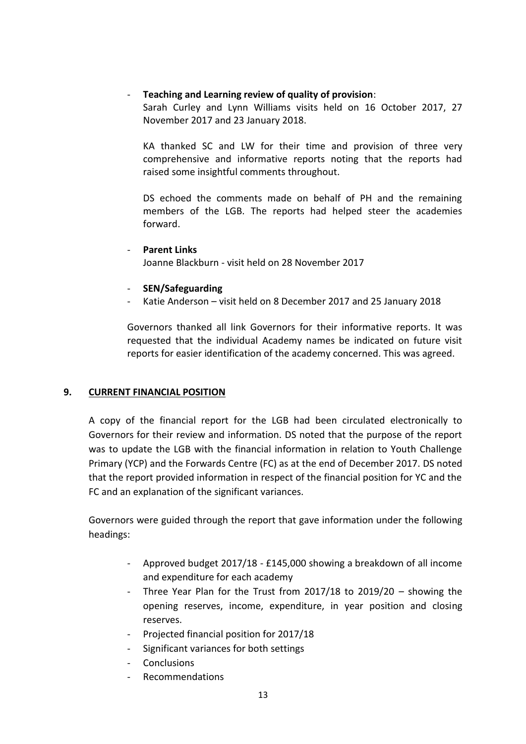### - **Teaching and Learning review of quality of provision**:

Sarah Curley and Lynn Williams visits held on 16 October 2017, 27 November 2017 and 23 January 2018.

KA thanked SC and LW for their time and provision of three very comprehensive and informative reports noting that the reports had raised some insightful comments throughout.

DS echoed the comments made on behalf of PH and the remaining members of the LGB. The reports had helped steer the academies forward.

# - **SEN/Safeguarding**

Katie Anderson - visit held on 8 December 2017 and 25 January 2018

Governors thanked all link Governors for their informative reports. It was requested that the individual Academy names be indicated on future visit reports for easier identification of the academy concerned. This was agreed.

## **9. CURRENT FINANCIAL POSITION**

A copy of the financial report for the LGB had been circulated electronically to Governors for their review and information. DS noted that the purpose of the report was to update the LGB with the financial information in relation to Youth Challenge Primary (YCP) and the Forwards Centre (FC) as at the end of December 2017. DS noted that the report provided information in respect of the financial position for YC and the FC and an explanation of the significant variances.

Governors were guided through the report that gave information under the following headings:

- Approved budget 2017/18 £145,000 showing a breakdown of all income and expenditure for each academy
- Three Year Plan for the Trust from 2017/18 to 2019/20 showing the opening reserves, income, expenditure, in year position and closing reserves.
- Projected financial position for 2017/18
- Significant variances for both settings
- Conclusions
- Recommendations

<sup>-</sup> **Parent Links** Joanne Blackburn - visit held on 28 November 2017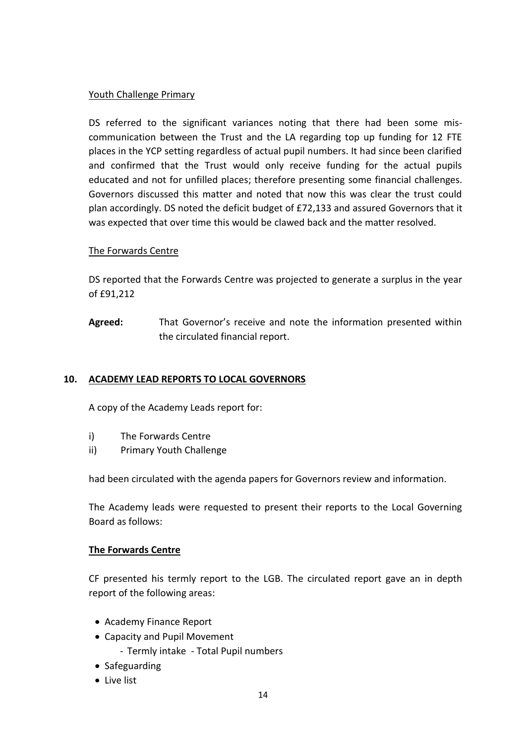### Youth Challenge Primary

DS referred to the significant variances noting that there had been some miscommunication between the Trust and the LA regarding top up funding for 12 FTE places in the YCP setting regardless of actual pupil numbers. It had since been clarified and confirmed that the Trust would only receive funding for the actual pupils educated and not for unfilled places; therefore presenting some financial challenges. Governors discussed this matter and noted that now this was clear the trust could plan accordingly. DS noted the deficit budget of £72,133 and assured Governors that it was expected that over time this would be clawed back and the matter resolved.

## The Forwards Centre

DS reported that the Forwards Centre was projected to generate a surplus in the year of £91,212

**Agreed:** That Governor's receive and note the information presented within the circulated financial report.

## **10. ACADEMY LEAD REPORTS TO LOCAL GOVERNORS**

A copy of the Academy Leads report for:

- i) The Forwards Centre
- ii) Primary Youth Challenge

had been circulated with the agenda papers for Governors review and information.

The Academy leads were requested to present their reports to the Local Governing Board as follows:

#### **The Forwards Centre**

CF presented his termly report to the LGB. The circulated report gave an in depth report of the following areas:

- Academy Finance Report
- Capacity and Pupil Movement
	- Termly intake Total Pupil numbers
- Safeguarding
- Live list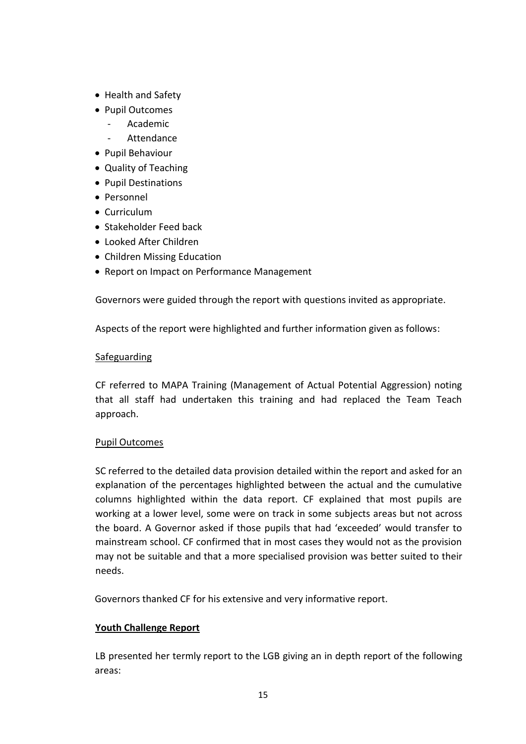- Health and Safety
- Pupil Outcomes
	- Academic
	- **Attendance**
- Pupil Behaviour
- Quality of Teaching
- Pupil Destinations
- Personnel
- Curriculum
- Stakeholder Feed back
- Looked After Children
- Children Missing Education
- Report on Impact on Performance Management

Governors were guided through the report with questions invited as appropriate.

Aspects of the report were highlighted and further information given as follows:

### Safeguarding

CF referred to MAPA Training (Management of Actual Potential Aggression) noting that all staff had undertaken this training and had replaced the Team Teach approach.

## Pupil Outcomes

SC referred to the detailed data provision detailed within the report and asked for an explanation of the percentages highlighted between the actual and the cumulative columns highlighted within the data report. CF explained that most pupils are working at a lower level, some were on track in some subjects areas but not across the board. A Governor asked if those pupils that had 'exceeded' would transfer to mainstream school. CF confirmed that in most cases they would not as the provision may not be suitable and that a more specialised provision was better suited to their needs.

Governors thanked CF for his extensive and very informative report.

## **Youth Challenge Report**

LB presented her termly report to the LGB giving an in depth report of the following areas: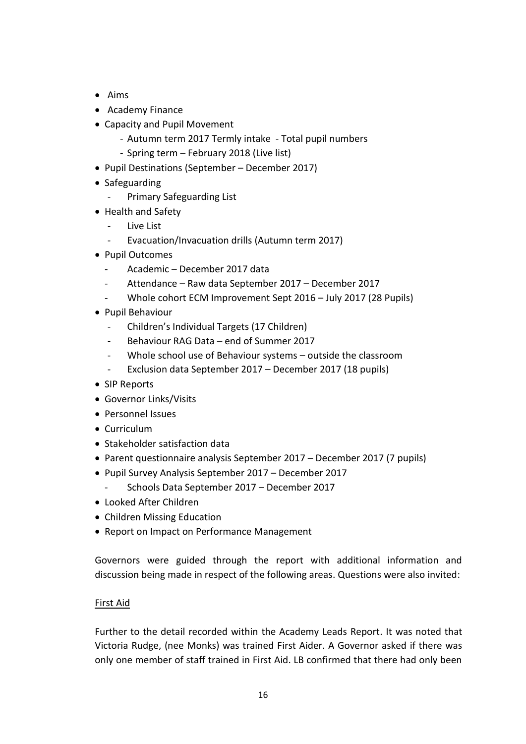- $\bullet$  Aims
- Academy Finance
- Capacity and Pupil Movement
	- Autumn term 2017 Termly intake Total pupil numbers
	- Spring term February 2018 (Live list)
- Pupil Destinations (September December 2017)
- Safeguarding
	- Primary Safeguarding List
- Health and Safety
	- Live List
	- Evacuation/Invacuation drills (Autumn term 2017)
- Pupil Outcomes
	- Academic December 2017 data
	- Attendance Raw data September 2017 December 2017
	- Whole cohort ECM Improvement Sept 2016 July 2017 (28 Pupils)
- Pupil Behaviour
	- Children's Individual Targets (17 Children)
	- Behaviour RAG Data end of Summer 2017
	- Whole school use of Behaviour systems outside the classroom
	- Exclusion data September 2017 December 2017 (18 pupils)
- SIP Reports
- Governor Links/Visits
- Personnel Issues
- Curriculum
- Stakeholder satisfaction data
- Parent questionnaire analysis September 2017 December 2017 (7 pupils)
- Pupil Survey Analysis September 2017 December 2017
	- Schools Data September 2017 December 2017
- Looked After Children
- Children Missing Education
- Report on Impact on Performance Management

Governors were guided through the report with additional information and discussion being made in respect of the following areas. Questions were also invited:

## First Aid

Further to the detail recorded within the Academy Leads Report. It was noted that Victoria Rudge, (nee Monks) was trained First Aider. A Governor asked if there was only one member of staff trained in First Aid. LB confirmed that there had only been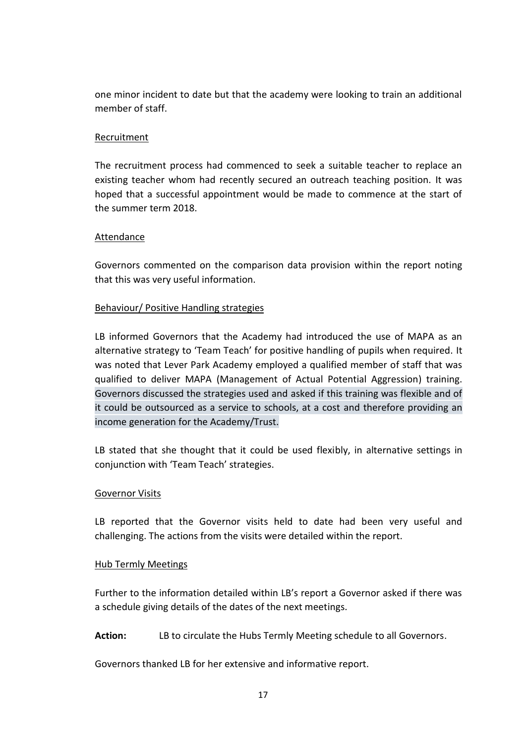one minor incident to date but that the academy were looking to train an additional member of staff.

### Recruitment

The recruitment process had commenced to seek a suitable teacher to replace an existing teacher whom had recently secured an outreach teaching position. It was hoped that a successful appointment would be made to commence at the start of the summer term 2018.

#### Attendance

Governors commented on the comparison data provision within the report noting that this was very useful information.

### Behaviour/ Positive Handling strategies

LB informed Governors that the Academy had introduced the use of MAPA as an alternative strategy to 'Team Teach' for positive handling of pupils when required. It was noted that Lever Park Academy employed a qualified member of staff that was qualified to deliver MAPA (Management of Actual Potential Aggression) training. Governors discussed the strategies used and asked if this training was flexible and of it could be outsourced as a service to schools, at a cost and therefore providing an income generation for the Academy/Trust.

LB stated that she thought that it could be used flexibly, in alternative settings in conjunction with 'Team Teach' strategies.

#### Governor Visits

LB reported that the Governor visits held to date had been very useful and challenging. The actions from the visits were detailed within the report.

#### Hub Termly Meetings

Further to the information detailed within LB's report a Governor asked if there was a schedule giving details of the dates of the next meetings.

**Action:** LB to circulate the Hubs Termly Meeting schedule to all Governors.

Governors thanked LB for her extensive and informative report.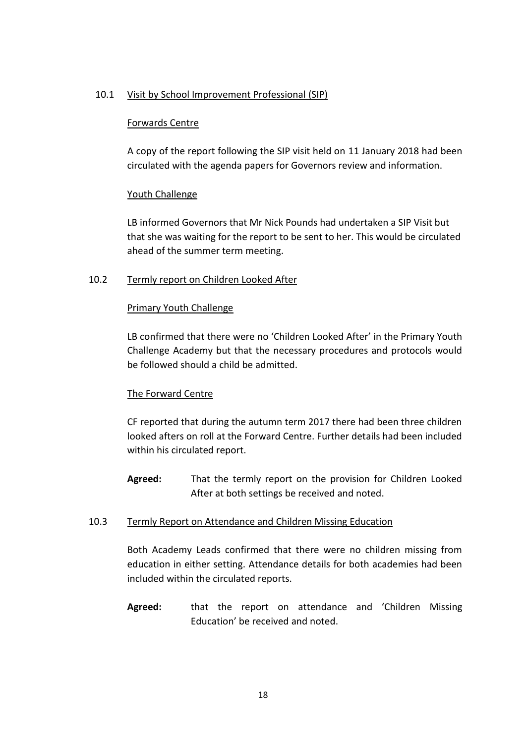#### 10.1 Visit by School Improvement Professional (SIP)

### Forwards Centre

A copy of the report following the SIP visit held on 11 January 2018 had been circulated with the agenda papers for Governors review and information.

## Youth Challenge

LB informed Governors that Mr Nick Pounds had undertaken a SIP Visit but that she was waiting for the report to be sent to her. This would be circulated ahead of the summer term meeting.

### 10.2 Termly report on Children Looked After

#### Primary Youth Challenge

LB confirmed that there were no 'Children Looked After' in the Primary Youth Challenge Academy but that the necessary procedures and protocols would be followed should a child be admitted.

## The Forward Centre

CF reported that during the autumn term 2017 there had been three children looked afters on roll at the Forward Centre. Further details had been included within his circulated report.

**Agreed:** That the termly report on the provision for Children Looked After at both settings be received and noted.

## 10.3 Termly Report on Attendance and Children Missing Education

Both Academy Leads confirmed that there were no children missing from education in either setting. Attendance details for both academies had been included within the circulated reports.

**Agreed:** that the report on attendance and 'Children Missing Education' be received and noted.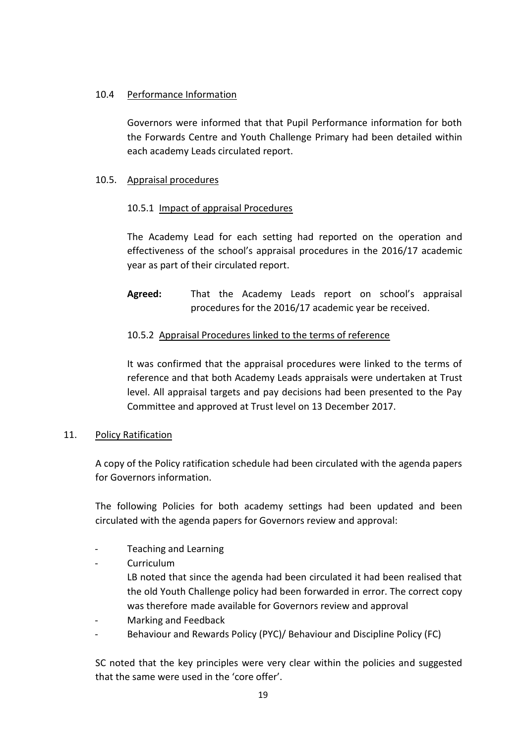### 10.4 Performance Information

Governors were informed that that Pupil Performance information for both the Forwards Centre and Youth Challenge Primary had been detailed within each academy Leads circulated report.

### 10.5. Appraisal procedures

### 10.5.1 Impact of appraisal Procedures

The Academy Lead for each setting had reported on the operation and effectiveness of the school's appraisal procedures in the 2016/17 academic year as part of their circulated report.

**Agreed:** That the Academy Leads report on school's appraisal procedures for the 2016/17 academic year be received.

## 10.5.2 Appraisal Procedures linked to the terms of reference

It was confirmed that the appraisal procedures were linked to the terms of reference and that both Academy Leads appraisals were undertaken at Trust level. All appraisal targets and pay decisions had been presented to the Pay Committee and approved at Trust level on 13 December 2017.

#### 11. Policy Ratification

A copy of the Policy ratification schedule had been circulated with the agenda papers for Governors information.

The following Policies for both academy settings had been updated and been circulated with the agenda papers for Governors review and approval:

- Teaching and Learning
- **Curriculum**

LB noted that since the agenda had been circulated it had been realised that the old Youth Challenge policy had been forwarded in error. The correct copy was therefore made available for Governors review and approval

- Marking and Feedback
- Behaviour and Rewards Policy (PYC)/ Behaviour and Discipline Policy (FC)

SC noted that the key principles were very clear within the policies and suggested that the same were used in the 'core offer'.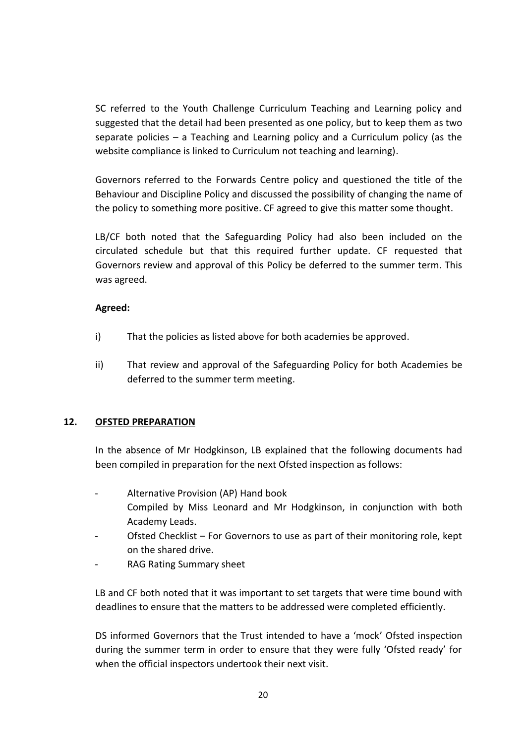SC referred to the Youth Challenge Curriculum Teaching and Learning policy and suggested that the detail had been presented as one policy, but to keep them as two separate policies – a Teaching and Learning policy and a Curriculum policy (as the website compliance is linked to Curriculum not teaching and learning).

Governors referred to the Forwards Centre policy and questioned the title of the Behaviour and Discipline Policy and discussed the possibility of changing the name of the policy to something more positive. CF agreed to give this matter some thought.

LB/CF both noted that the Safeguarding Policy had also been included on the circulated schedule but that this required further update. CF requested that Governors review and approval of this Policy be deferred to the summer term. This was agreed.

## **Agreed:**

- i) That the policies as listed above for both academies be approved.
- ii) That review and approval of the Safeguarding Policy for both Academies be deferred to the summer term meeting.

## **12. OFSTED PREPARATION**

In the absence of Mr Hodgkinson, LB explained that the following documents had been compiled in preparation for the next Ofsted inspection as follows:

- Alternative Provision (AP) Hand book Compiled by Miss Leonard and Mr Hodgkinson, in conjunction with both Academy Leads.
- Ofsted Checklist For Governors to use as part of their monitoring role, kept on the shared drive.
- RAG Rating Summary sheet

LB and CF both noted that it was important to set targets that were time bound with deadlines to ensure that the matters to be addressed were completed efficiently.

DS informed Governors that the Trust intended to have a 'mock' Ofsted inspection during the summer term in order to ensure that they were fully 'Ofsted ready' for when the official inspectors undertook their next visit.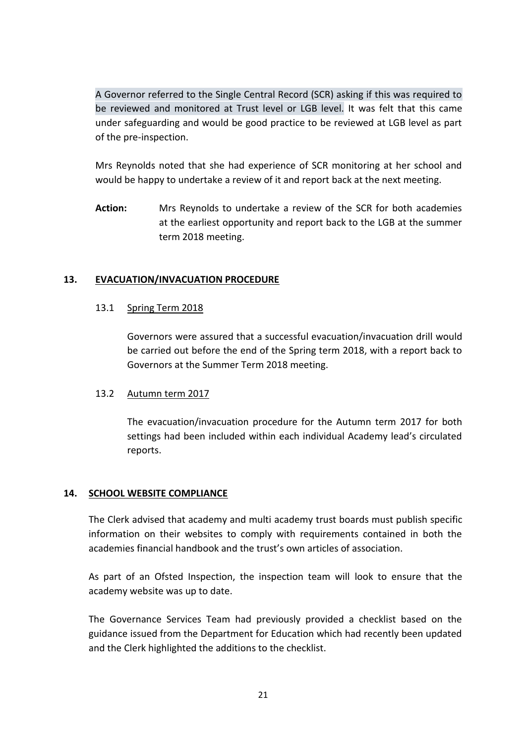A Governor referred to the Single Central Record (SCR) asking if this was required to be reviewed and monitored at Trust level or LGB level. It was felt that this came under safeguarding and would be good practice to be reviewed at LGB level as part of the pre-inspection.

Mrs Reynolds noted that she had experience of SCR monitoring at her school and would be happy to undertake a review of it and report back at the next meeting.

**Action:** Mrs Reynolds to undertake a review of the SCR for both academies at the earliest opportunity and report back to the LGB at the summer term 2018 meeting.

## **13. EVACUATION/INVACUATION PROCEDURE**

### 13.1 Spring Term 2018

Governors were assured that a successful evacuation/invacuation drill would be carried out before the end of the Spring term 2018, with a report back to Governors at the Summer Term 2018 meeting.

## 13.2 Autumn term 2017

The evacuation/invacuation procedure for the Autumn term 2017 for both settings had been included within each individual Academy lead's circulated reports.

## **14. SCHOOL WEBSITE COMPLIANCE**

The Clerk advised that academy and multi academy trust boards must publish specific information on their websites to comply with requirements contained in both the academies financial handbook and the trust's own articles of association.

As part of an Ofsted Inspection, the inspection team will look to ensure that the academy website was up to date.

The Governance Services Team had previously provided a checklist based on the guidance issued from the Department for Education which had recently been updated and the Clerk highlighted the additions to the checklist.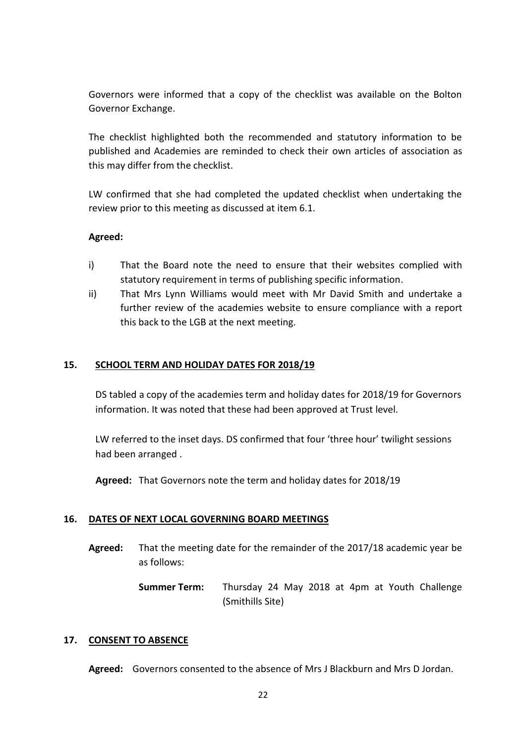Governors were informed that a copy of the checklist was available on the Bolton Governor Exchange.

The checklist highlighted both the recommended and statutory information to be published and Academies are reminded to check their own articles of association as this may differ from the checklist.

LW confirmed that she had completed the updated checklist when undertaking the review prior to this meeting as discussed at item 6.1.

## **Agreed:**

- i) That the Board note the need to ensure that their websites complied with statutory requirement in terms of publishing specific information.
- ii) That Mrs Lynn Williams would meet with Mr David Smith and undertake a further review of the academies website to ensure compliance with a report this back to the LGB at the next meeting.

### **15. SCHOOL TERM AND HOLIDAY DATES FOR 2018/19**

DS tabled a copy of the academies term and holiday dates for 2018/19 for Governors information. It was noted that these had been approved at Trust level.

LW referred to the inset days. DS confirmed that four 'three hour' twilight sessions had been arranged .

**Agreed:** That Governors note the term and holiday dates for 2018/19

#### **16. DATES OF NEXT LOCAL GOVERNING BOARD MEETINGS**

**Agreed:** That the meeting date for the remainder of the 2017/18 academic year be as follows:

> **Summer Term:** Thursday 24 May 2018 at 4pm at Youth Challenge (Smithills Site)

#### **17. CONSENT TO ABSENCE**

**Agreed:** Governors consented to the absence of Mrs J Blackburn and Mrs D Jordan.